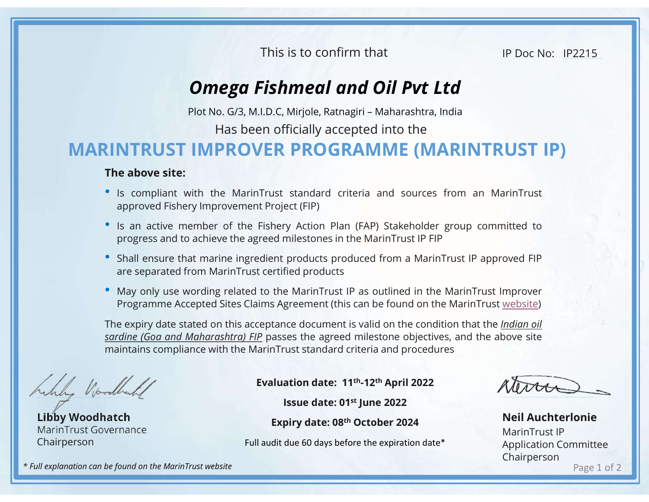This is to confirm that

IP Doc No: IP2215

## Omega Fishmeal and Oil Pvt Ltd

Has been officially accepted into the

## MARINTRUST IMPROVER PROGRAMME (MARINTRUST IP) This is to confirm that<br> **Omega Fishmeal and Oil Pvt Ltd**<br>
Plot No. G/3, M.I.D.C, Mirjole, Ratnagiri – Maharashtra, India<br>
Has been officially accepted into the<br> **IMPROVER PROGRAMME (MARINTRUST IP)**

## The above site:

- **Is compliant with the MarinTrust standard criteria and Sources from an MarinTrust Standard Criteria and Sources from an MarinTrust approved Fishery Improvement Project (FIP)<br>
 Is an active member of the Fishery Action** This is to confirm that<br> **Omega Fishmeal and Oil Pvt Ltd**<br>
Ploc No: II<br> **Omega Fishmeal and Oil Pvt Ltd**<br>
Plot No. G/3, M.I.D.C, Mirjole, Ratnagiri – Maharashtra, India<br>
Has been officially accepted into the<br> **NTRUST IMPRO • In active member of the Fishery Action Plan (FAP)**<br> **• Direct No. 673, M.I.D.C, Mirjole, Ratnagiri – Maharashtra, India<br>
• Has been officially accepted into the<br>
<b>• INTRUST IMPROVER PROGRAMME (MARINTRUST IP)**<br> **The ab** This is to confirm that<br> **Omega Fishmeal and Oil Pvt Ltd**<br>
Plot No. 6/3, M.I.D.C, Mirjole, Ratnagiri – Maharashtra, India<br>
Has been officially accepted into the<br> **NITRUST IMPROVER PROGRAMME (MARINTRUST IP)**<br> **e above site:** FRAM FROM THE SHALL ENDIRE THE UNITED STATES IN THE DOCTOR CONTROLLED PROTOCONDICT INTO THE above site:<br>
• Its compliant with the MarinTrust standard criteria and sources from an MarinTrust approved Fishery Improvement Pro **Omega Fishmeal and Oil Pvt Ltd**<br>
Plot No. G/3, M.I.D.C, Mirjole, Ratnagiri – Maharashtra, India<br>
Has been officially accepted into the<br> **NTRUST IMPROVER PROGRAMME (MARINTRUST IP)**<br> **e above site:**<br>
Is compliant with the M
- 
- 
- 

**EXECT MAY ONEXAMPLE COMPROVER PROGRAMME (MARINTRUST IP)**<br> **EXECT IMPROVER PROGRAMME (MARINTRUST IP)**<br> **The above site:**<br>
• is compliant with the MarinTrust standard criteria and sources from an MarinTrust<br>
• approved Fis Plot No. G/3, M.I.D.C, Mirjole, Ratnagiri – Maharashtra, India<br>Has been officially accepted into the<br>**NTRUST IP)**<br>e above site:<br>Is compliant with the MarinTrust standard criteria and sources from an MarinTrust<br>approved Fis **Has been officially accepted into the**<br> **The above site:**<br> **The above site:**<br> **The above site:**<br> **The above site:**<br> **The state state state state state state state state state of the Fishery Action Plan (FAP) Stakeholder** FIRT IMPROVER PROGRAMME (MARINTRUST IP)<br>
The above site:<br>
"s is compliant with the MarinTrust standard criteria and sources from an MarinTrust<br>
"approved Fishery Improvement Project (FIP)<br>
"Is an active member of the Fish **EXERCT IMPROVER PROGRAMME (MARINTRUST IP)**<br>
The above site:<br>
" Is compliant with the MarinTrust standard criteria and sources from an MarinTrust<br>
" Is an active member of the Fishery Action Plan (FAP) Stakeholder group c Example 19 Marin Trust IP<br>
et (FIP)<br>
et (FIP)<br>
products produced from a MarinTrust IP approved FIP<br>
fied products<br>
EntainTrust IP as outlined in the MarinTrust Improver<br>
greement (this can be found on the MarinTrust Improv

Libby Woodhatch MarinTrust Governance Chairperson

Evaluation date: 11th-12th April 2022

Expiry date: 08th October 2024

Full audit due 60 days before the expiration date\*

Page 1 of 2 Neil Auchterlonie MarinTrust IP Application Committee Chairperson

\* Full explanation can be found on the MarinTrust website